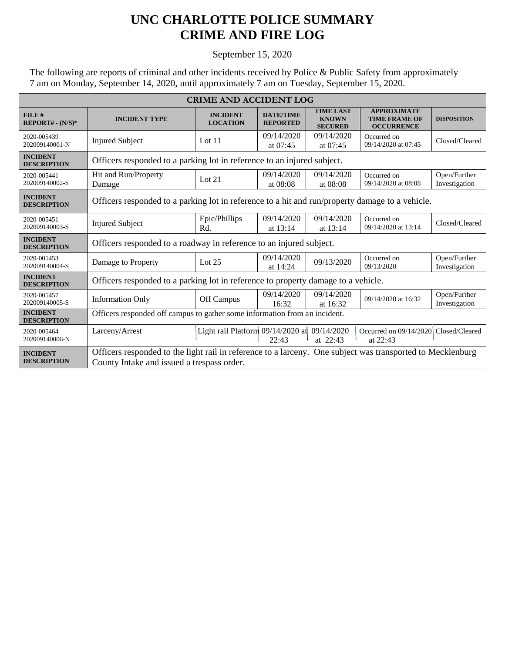## **UNC CHARLOTTE POLICE SUMMARY CRIME AND FIRE LOG**

## September 15, 2020

The following are reports of criminal and other incidents received by Police & Public Safety from approximately 7 am on Monday, September 14, 2020, until approximately 7 am on Tuesday, September 15, 2020.

| <b>CRIME AND ACCIDENT LOG</b>         |                                                                                                            |                                    |                                     |                                                    |                                                                 |                               |  |
|---------------------------------------|------------------------------------------------------------------------------------------------------------|------------------------------------|-------------------------------------|----------------------------------------------------|-----------------------------------------------------------------|-------------------------------|--|
| FILE#<br>REPORT# - (N/S)*             | <b>INCIDENT TYPE</b>                                                                                       | <b>INCIDENT</b><br><b>LOCATION</b> | <b>DATE/TIME</b><br><b>REPORTED</b> | <b>TIME LAST</b><br><b>KNOWN</b><br><b>SECURED</b> | <b>APPROXIMATE</b><br><b>TIME FRAME OF</b><br><b>OCCURRENCE</b> | <b>DISPOSITION</b>            |  |
| 2020-005439<br>202009140001-N         | <b>Injured Subject</b>                                                                                     | Lot $11$                           | 09/14/2020<br>at 07:45              | 09/14/2020<br>at 07:45                             | Occurred on<br>09/14/2020 at 07:45                              | Closed/Cleared                |  |
| <b>INCIDENT</b><br><b>DESCRIPTION</b> | Officers responded to a parking lot in reference to an injured subject.                                    |                                    |                                     |                                                    |                                                                 |                               |  |
| 2020-005441<br>202009140002-S         | Hit and Run/Property<br>Damage                                                                             | Lot $21$                           | 09/14/2020<br>at 08:08              | 09/14/2020<br>at 08:08                             | Occurred on<br>09/14/2020 at 08:08                              | Open/Further<br>Investigation |  |
| <b>INCIDENT</b><br><b>DESCRIPTION</b> | Officers responded to a parking lot in reference to a hit and run/property damage to a vehicle.            |                                    |                                     |                                                    |                                                                 |                               |  |
| 2020-005451<br>202009140003-S         | <b>Injured Subject</b>                                                                                     | Epic/Phillips<br>Rd.               | 09/14/2020<br>at $13:14$            | 09/14/2020<br>at 13:14                             | Occurred on<br>09/14/2020 at 13:14                              | Closed/Cleared                |  |
| <b>INCIDENT</b><br><b>DESCRIPTION</b> | Officers responded to a roadway in reference to an injured subject.                                        |                                    |                                     |                                                    |                                                                 |                               |  |
| 2020-005453<br>202009140004-S         | Damage to Property                                                                                         | Lot $25$                           | 09/14/2020<br>at $14:24$            | 09/13/2020                                         | Occurred on<br>09/13/2020                                       | Open/Further<br>Investigation |  |
| <b>INCIDENT</b><br><b>DESCRIPTION</b> | Officers responded to a parking lot in reference to property damage to a vehicle.                          |                                    |                                     |                                                    |                                                                 |                               |  |
| 2020-005457<br>202009140005-S         | <b>Information Only</b>                                                                                    | Off Campus                         | 09/14/2020<br>16:32                 | 09/14/2020<br>at 16:32                             | 09/14/2020 at 16:32                                             | Open/Further<br>Investigation |  |
| <b>INCIDENT</b><br><b>DESCRIPTION</b> | Officers responded off campus to gather some information from an incident.                                 |                                    |                                     |                                                    |                                                                 |                               |  |
| 2020-005464<br>202009140006-N         | Larceny/Arrest                                                                                             | Light rail Platform 09/14/2020 at  | 22:43                               | 09/14/2020<br>at 22:43                             | Occurred on 09/14/2020 Closed/Cleared<br>at 22:43               |                               |  |
| <b>INCIDENT</b>                       | Officers responded to the light rail in reference to a larceny. One subject was transported to Mecklenburg |                                    |                                     |                                                    |                                                                 |                               |  |
| <b>DESCRIPTION</b>                    | County Intake and issued a trespass order.                                                                 |                                    |                                     |                                                    |                                                                 |                               |  |